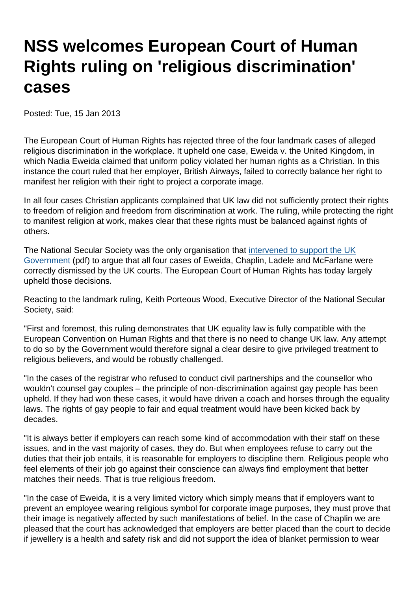## NSS welcomes European Court of Human Rights ruling on 'religious discrimination' cases

Posted: Tue, 15 Jan 2013

The European Court of Human Rights has rejected three of the four landmark cases of alleged religious discrimination in the workplace. It upheld one case, Eweida v. the United Kingdom, in which Nadia Eweida claimed that uniform policy violated her human rights as a Christian. In this instance the court ruled that her employer, British Airways, failed to correctly balance her right to manifest her religion with their right to project a corporate image.

In all four cases Christian applicants complained that UK law did not sufficiently protect their rights to freedom of religion and freedom from discrimination at work. The ruling, while protecting the right to manifest religion at work, makes clear that these rights must be balanced against rights of others.

The National Secular Society was the only organisation that [intervened to support the UK](https://www.secularism.org.uk/uploads/nss-intervention-to-european-court-of-human-rights.pdf) [Government](https://www.secularism.org.uk/uploads/nss-intervention-to-european-court-of-human-rights.pdf) (pdf) to argue that all four cases of Eweida, Chaplin, Ladele and McFarlane were correctly dismissed by the UK courts. The European Court of Human Rights has today largely upheld those decisions.

Reacting to the landmark ruling, Keith Porteous Wood, Executive Director of the National Secular Society, said:

"First and foremost, this ruling demonstrates that UK equality law is fully compatible with the European Convention on Human Rights and that there is no need to change UK law. Any attempt to do so by the Government would therefore signal a clear desire to give privileged treatment to religious believers, and would be robustly challenged.

"In the cases of the registrar who refused to conduct civil partnerships and the counsellor who wouldn't counsel gay couples – the principle of non-discrimination against gay people has been upheld. If they had won these cases, it would have driven a coach and horses through the equality laws. The rights of gay people to fair and equal treatment would have been kicked back by decades.

"It is always better if employers can reach some kind of accommodation with their staff on these issues, and in the vast majority of cases, they do. But when employees refuse to carry out the duties that their job entails, it is reasonable for employers to discipline them. Religious people who feel elements of their job go against their conscience can always find employment that better matches their needs. That is true religious freedom.

"In the case of Eweida, it is a very limited victory which simply means that if employers want to prevent an employee wearing religious symbol for corporate image purposes, they must prove that their image is negatively affected by such manifestations of belief. In the case of Chaplin we are pleased that the court has acknowledged that employers are better placed than the court to decide if jewellery is a health and safety risk and did not support the idea of blanket permission to wear